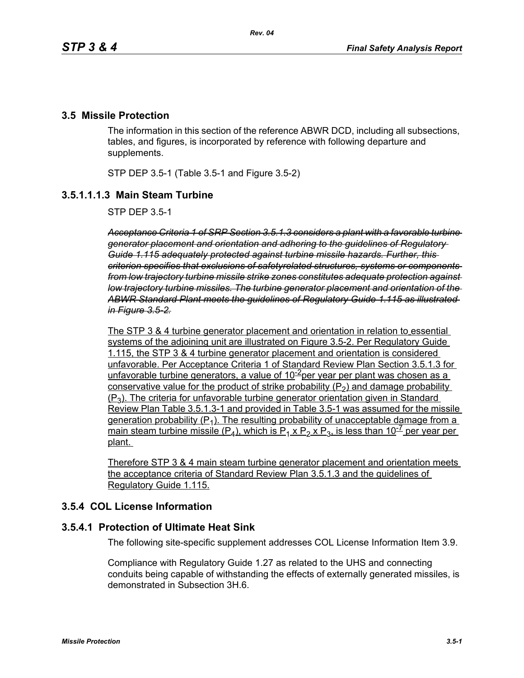#### **3.5 Missile Protection**

The information in this section of the reference ABWR DCD, including all subsections, tables, and figures, is incorporated by reference with following departure and supplements.

STP DEP 3.5-1 (Table 3.5-1 and Figure 3.5-2)

## **3.5.1.1.1.3 Main Steam Turbine**

STP DEP 3.5-1

*Acceptance Criteria 1 of SRP Section 3.5.1.3 considers a plant with a favorable turbine generator placement and orientation and adhering to the guidelines of Regulatory Guide 1.115 adequately protected against turbine missile hazards. Further, this criterion specifies that exclusions of safetyrelated structures, systems or components from low trajectory turbine missile strike zones constitutes adequate protection against low trajectory turbine missiles. The turbine generator placement and orientation of the ABWR Standard Plant meets the guidelines of Regulatory Guide 1.115 as illustrated in Figure 3.5-2.*

The STP 3 & 4 turbine generator placement and orientation in relation to essential systems of the adjoining unit are illustrated on Figure 3.5-2. Per Regulatory Guide 1.115, the STP 3 & 4 turbine generator placement and orientation is considered unfavorable. Per Acceptance Criteria 1 of Standard Review Plan Section 3.5.1.3 for unfavorable turbine generators, a value of  $10^{-2}$ per year per plant was chosen as a conservative value for the product of strike probability  $(P_2)$  and damage probability  $(P_3)$ . The criteria for unfavorable turbine generator orientation given in Standard Review Plan Table 3.5.1.3-1 and provided in Table 3.5-1 was assumed for the missile generation probability  $(P_1)$ . The resulting probability of unacceptable damage from a main steam turbine missile (P<sub>4</sub>), which is P<sub>1</sub> x P<sub>2</sub> x P<sub>3</sub>, is less than 10<sup>-7</sup> per year per plant.

Therefore STP 3 & 4 main steam turbine generator placement and orientation meets the acceptance criteria of Standard Review Plan 3.5.1.3 and the guidelines of Regulatory Guide 1.115.

## **3.5.4 COL License Information**

#### **3.5.4.1 Protection of Ultimate Heat Sink**

The following site-specific supplement addresses COL License Information Item 3.9.

Compliance with Regulatory Guide 1.27 as related to the UHS and connecting conduits being capable of withstanding the effects of externally generated missiles, is demonstrated in Subsection 3H.6.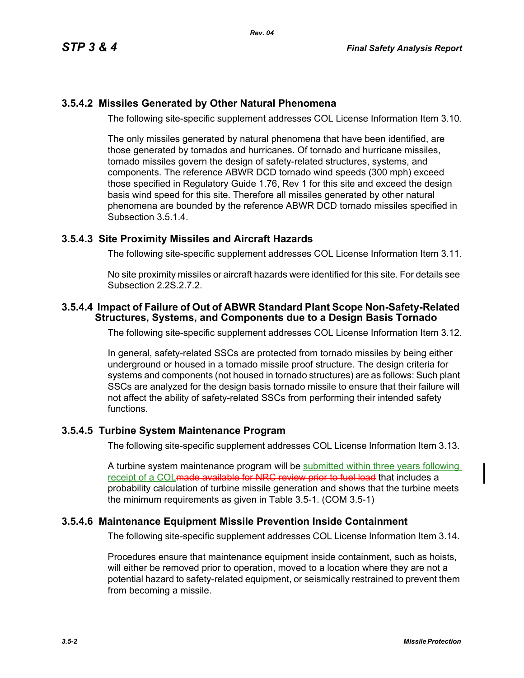# **3.5.4.2 Missiles Generated by Other Natural Phenomena**

The following site-specific supplement addresses COL License Information Item 3.10.

The only missiles generated by natural phenomena that have been identified, are those generated by tornados and hurricanes. Of tornado and hurricane missiles, tornado missiles govern the design of safety-related structures, systems, and components. The reference ABWR DCD tornado wind speeds (300 mph) exceed those specified in Regulatory Guide 1.76, Rev 1 for this site and exceed the design basis wind speed for this site. Therefore all missiles generated by other natural phenomena are bounded by the reference ABWR DCD tornado missiles specified in Subsection 3.5.1.4.

# **3.5.4.3 Site Proximity Missiles and Aircraft Hazards**

The following site-specific supplement addresses COL License Information Item 3.11.

No site proximity missiles or aircraft hazards were identified for this site. For details see Subsection 2.2S.2.7.2.

### **3.5.4.4 Impact of Failure of Out of ABWR Standard Plant Scope Non-Safety-Related Structures, Systems, and Components due to a Design Basis Tornado**

The following site-specific supplement addresses COL License Information Item 3.12.

In general, safety-related SSCs are protected from tornado missiles by being either underground or housed in a tornado missile proof structure. The design criteria for systems and components (not housed in tornado structures) are as follows: Such plant SSCs are analyzed for the design basis tornado missile to ensure that their failure will not affect the ability of safety-related SSCs from performing their intended safety functions.

# **3.5.4.5 Turbine System Maintenance Program**

The following site-specific supplement addresses COL License Information Item 3.13.

A turbine system maintenance program will be submitted within three years following receipt of a COL made available for NRC review prior to fuel load that includes a probability calculation of turbine missile generation and shows that the turbine meets the minimum requirements as given in Table 3.5-1. (COM 3.5-1)

### **3.5.4.6 Maintenance Equipment Missile Prevention Inside Containment**

The following site-specific supplement addresses COL License Information Item 3.14.

Procedures ensure that maintenance equipment inside containment, such as hoists, will either be removed prior to operation, moved to a location where they are not a potential hazard to safety-related equipment, or seismically restrained to prevent them from becoming a missile.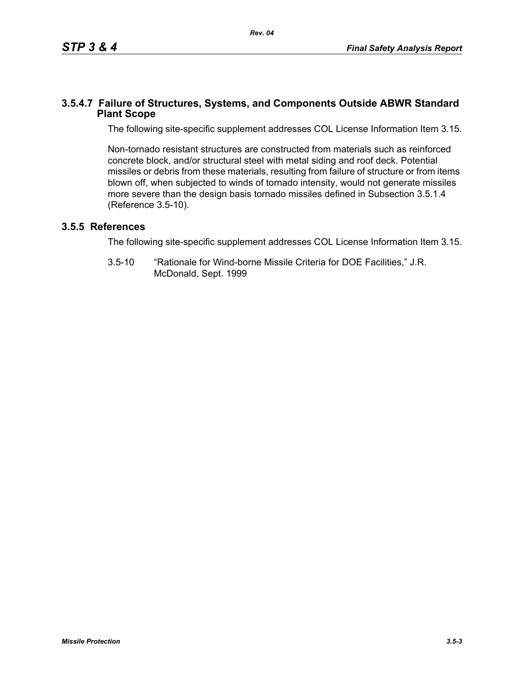## **3.5.4.7 Failure of Structures, Systems, and Components Outside ABWR Standard Plant Scope**

The following site-specific supplement addresses COL License Information Item 3.15.

Non-tornado resistant structures are constructed from materials such as reinforced concrete block, and/or structural steel with metal siding and roof deck. Potential missiles or debris from these materials, resulting from failure of structure or from items blown off, when subjected to winds of tornado intensity, would not generate missiles more severe than the design basis tornado missiles defined in Subsection 3.5.1.4 (Reference 3.5-10).

# **3.5.5 References**

The following site-specific supplement addresses COL License Information Item 3.15.

3.5-10 "Rationale for Wind-borne Missile Criteria for DOE Facilities," J.R. McDonald, Sept. 1999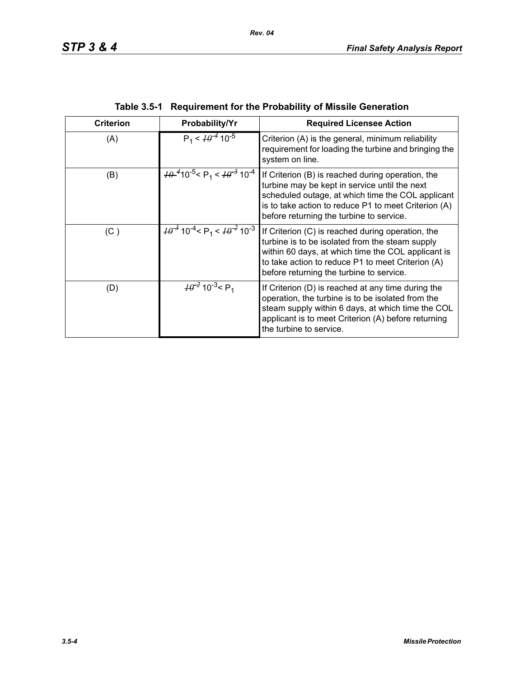| <b>Criterion</b> | Probability/Yr                                                         | <b>Required Licensee Action</b>                                                                                                                                                                                                                             |  |  |
|------------------|------------------------------------------------------------------------|-------------------------------------------------------------------------------------------------------------------------------------------------------------------------------------------------------------------------------------------------------------|--|--|
| (A)              | $P_1 < \frac{1}{9}$ 10 <sup>-5</sup>                                   | Criterion (A) is the general, minimum reliability<br>requirement for loading the turbine and bringing the<br>system on line.                                                                                                                                |  |  |
| (B)              | $\frac{10^{-4}}{10^{-5}}$ < P <sub>1</sub> < $\frac{10^{-3}}{10^{-4}}$ | If Criterion (B) is reached during operation, the<br>turbine may be kept in service until the next<br>scheduled outage, at which time the COL applicant<br>is to take action to reduce P1 to meet Criterion (A)<br>before returning the turbine to service. |  |  |
| (C)              | $\frac{10^{-3}}{10^{-4}}$ < P <sub>1</sub> < $\frac{10^{-2}}{10^{-3}}$ | If Criterion (C) is reached during operation, the<br>turbine is to be isolated from the steam supply<br>within 60 days, at which time the COL applicant is<br>to take action to reduce P1 to meet Criterion (A)<br>before returning the turbine to service. |  |  |
| (D)              | $\frac{10^{-2}}{2}$ 10 <sup>-3</sup> < P <sub>1</sub>                  | If Criterion (D) is reached at any time during the<br>operation, the turbine is to be isolated from the<br>steam supply within 6 days, at which time the COL<br>applicant is to meet Criterion (A) before returning<br>the turbine to service.              |  |  |

| Table 3.5-1 Requirement for the Probability of Missile Generation |  |  |
|-------------------------------------------------------------------|--|--|
|                                                                   |  |  |